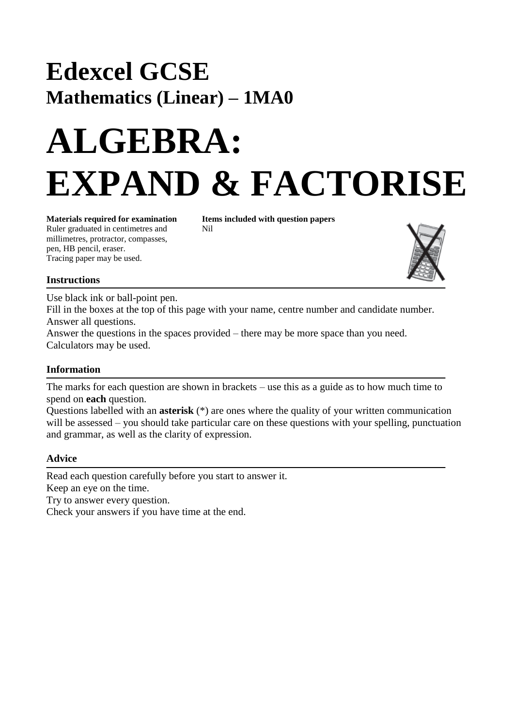## **Edexcel GCSE Mathematics (Linear) – 1MA0**

# **ALGEBRA: EXPAND & FACTORISE**

Ruler graduated in centimetres and Nil millimetres, protractor, compasses, pen, HB pencil, eraser. Tracing paper may be used.

**Materials required for examination Items included with question papers**



#### **Instructions**

Use black ink or ball-point pen.

Fill in the boxes at the top of this page with your name, centre number and candidate number. Answer all questions.

Answer the questions in the spaces provided – there may be more space than you need. Calculators may be used.

### **Information**

The marks for each question are shown in brackets – use this as a guide as to how much time to spend on **each** question.

Questions labelled with an **asterisk** (\*) are ones where the quality of your written communication will be assessed – you should take particular care on these questions with your spelling, punctuation and grammar, as well as the clarity of expression.

#### **Advice**

Read each question carefully before you start to answer it. Keep an eye on the time.

Try to answer every question.

Check your answers if you have time at the end.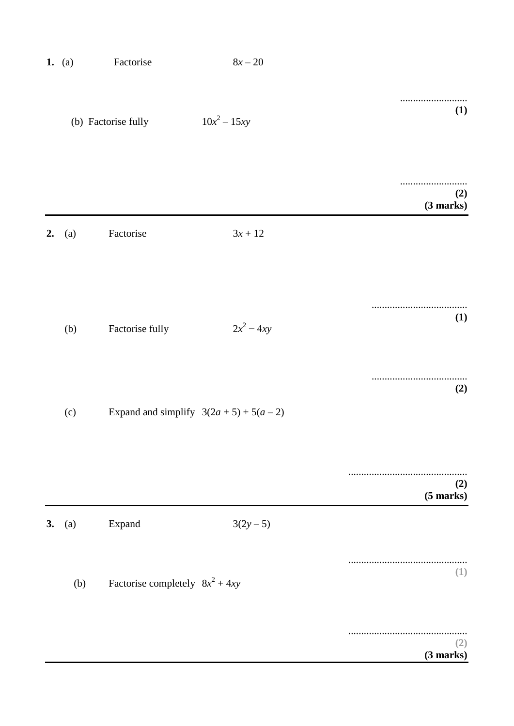|                            | $8x-20$        | Factorise                                  | 1. (a) |    |
|----------------------------|----------------|--------------------------------------------|--------|----|
| .<br>(1)                   | $10x^2 - 15xy$ | (b) Factorise fully                        |        |    |
| (2)<br>(3 marks)           |                |                                            |        |    |
|                            | $3x + 12$      | Factorise                                  | (a)    | 2. |
|                            |                |                                            |        |    |
| <b>(1)</b>                 | $2x^2 - 4xy$   | Factorise fully                            | (b)    |    |
|                            |                |                                            |        |    |
| (2)                        |                |                                            |        |    |
|                            |                | Expand and simplify $3(2a + 5) + 5(a - 2)$ | (c)    |    |
| .                          |                |                                            |        |    |
| (2)<br>$(5 \text{ marks})$ |                |                                            |        |    |
|                            | $3(2y-5)$      | Expand                                     | (a)    | 3. |
| (1)                        |                |                                            |        |    |
|                            |                | Factorise completely $8x^2 + 4xy$          | (b)    |    |
| (2)<br>(3 marks)           |                |                                            |        |    |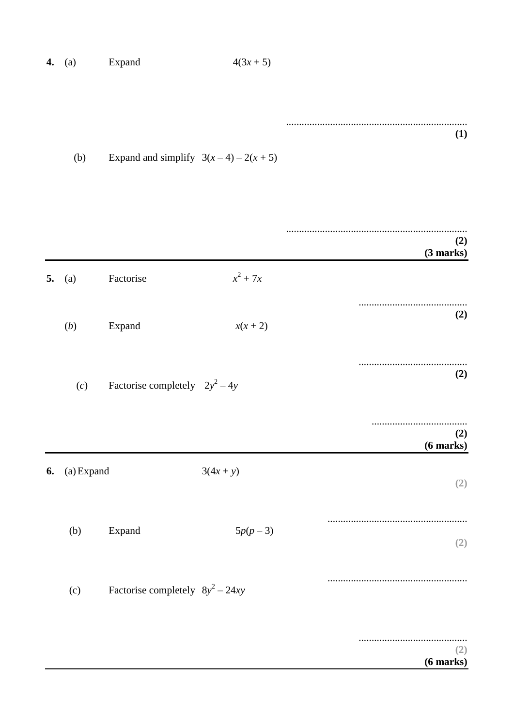| 4. | (a)        | Expand                                | $4(3x + 5)$ |                       |
|----|------------|---------------------------------------|-------------|-----------------------|
|    | (b)        | Expand and simplify $3(x-4) - 2(x+5)$ |             | (1)                   |
|    |            |                                       |             | (2)<br>(3 marks)      |
| 5. | (a)        | Factorise                             | $x^2 + 7x$  |                       |
|    | (b)        | Expand                                | $x(x+2)$    | (2)                   |
|    | (c)        | Factorise completely $2y^2 - 4y$      |             | (2)                   |
|    |            |                                       |             | (2)<br>$(6$ marks $)$ |
| 6. | (a) Expand |                                       | $3(4x + y)$ | (2)                   |
|    | (b)        | Expand                                | $5p(p-3)$   | (2)                   |
|    | (c)        | Factorise completely $8y^2 - 24xy$    |             |                       |
|    |            |                                       |             | (2)<br>$(6$ marks $)$ |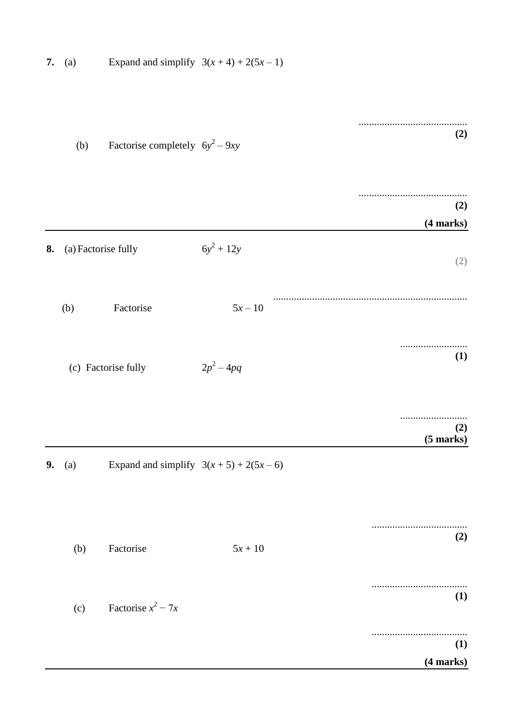| 7. | (a) | Expand and simplify $3(x+4) + 2(5x-1)$ |              |                    |
|----|-----|----------------------------------------|--------------|--------------------|
|    | (b) | Factorise completely $6y^2 - 9xy$      |              | (2)                |
|    |     |                                        |              | (2)<br>(4 marks)   |
| 8. |     | (a) Factorise fully                    | $6y^2 + 12y$ | (2)                |
|    | (b) | Factorise                              | $5x - 10$    |                    |
|    |     | (c) Factorise fully                    | $2p^2 - 4pq$ | (1)                |
|    |     |                                        |              | (2)<br>$(5$ marks) |
| 9. | (a) | Expand and simplify $3(x+5) + 2(5x-6)$ |              |                    |
|    | (b) | Factorise                              | $5x + 10$    | (2)                |
|    | (c) | Factorise $x^2 - 7x$                   |              | (1)                |
|    |     |                                        |              | (1)<br>(4 marks)   |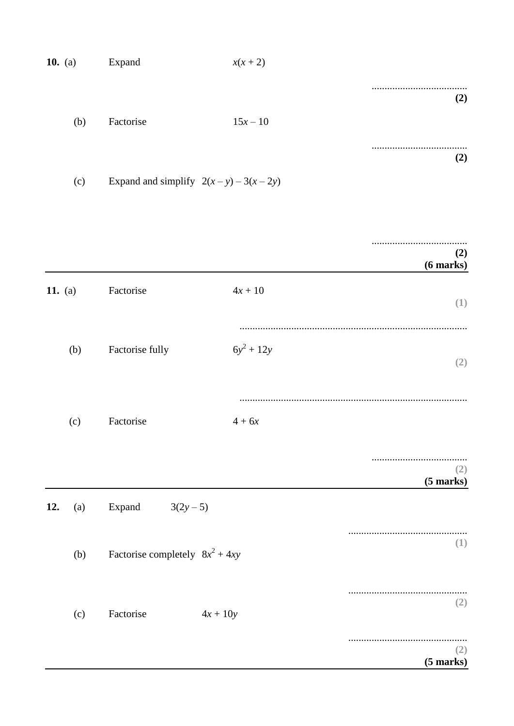|          | $x(x + 2)$                                 | Expand    | 10. (a) |
|----------|--------------------------------------------|-----------|---------|
| (2)      |                                            |           |         |
|          | $15x - 10$                                 | Factorise | (b)     |
| .<br>(2) |                                            |           |         |
|          | Expand and simplify $2(x - y) - 3(x - 2y)$ |           | (c)     |

|            |                                   |              | (2)<br>$(6$ marks $)$      |
|------------|-----------------------------------|--------------|----------------------------|
| 11. (a)    | Factorise                         | $4x + 10$    | (1)                        |
| (b)        | Factorise fully                   | $6y^2 + 12y$ | (2)                        |
| (c)        | Factorise                         | $4+6x$       |                            |
|            |                                   |              | (2)<br>$(5 \text{ marks})$ |
| 12.<br>(a) | Expand<br>$3(2y-5)$               |              |                            |
| (b)        | Factorise completely $8x^2 + 4xy$ |              | (1)                        |
| (c)        | Factorise                         | $4x + 10y$   | (2)                        |
|            |                                   |              | (2)<br>$(5 \text{ marks})$ |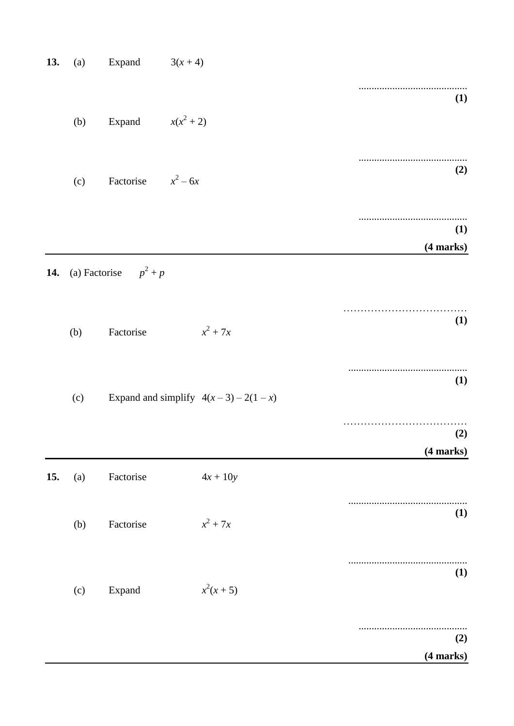| 13. | (a) | Expand                  | $3(x+4)$                              |                  |
|-----|-----|-------------------------|---------------------------------------|------------------|
|     | (b) | Expand $x(x^2 + 2)$     |                                       | (1)              |
|     |     |                         |                                       |                  |
|     | (c) | Factorise $x^2 - 6x$    |                                       | (2)              |
|     |     |                         |                                       | (1)<br>(4 marks) |
| 14. |     | (a) Factorise $p^2 + p$ |                                       |                  |
|     | (b) | Factorise               | $x^2 + 7x$                            | <b>(1)</b>       |
|     | (c) |                         | Expand and simplify $4(x-3) - 2(1-x)$ | (1)              |
|     |     |                         |                                       | (2)<br>(4 marks) |
| 15. | (a) | Factorise               | $4x + 10y$                            |                  |
|     | (b) | Factorise               | $x^2 + 7x$                            | (1)              |
|     | (c) | Expand                  | $x^2(x+5)$                            | (1)              |
|     |     |                         |                                       | (2)              |
|     |     |                         |                                       | (4 marks)        |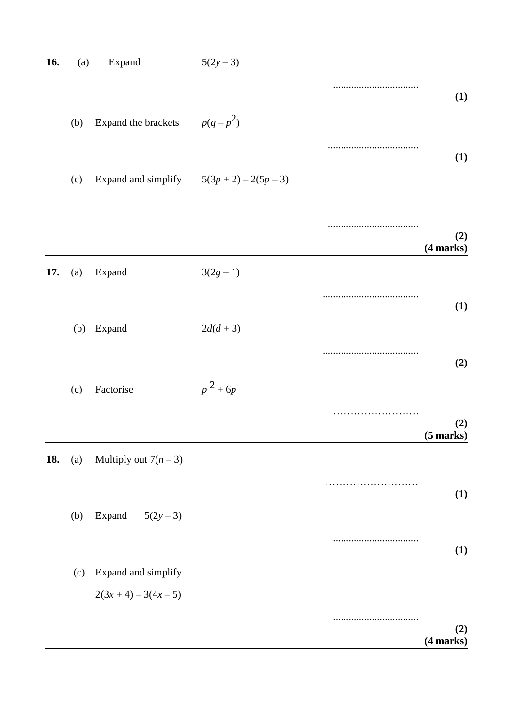| 16. | (a) | Expand                                      | $5(2y-3)$  |                     |            |
|-----|-----|---------------------------------------------|------------|---------------------|------------|
|     |     |                                             |            |                     | <b>(1)</b> |
|     | (b) | Expand the brackets                         | $p(q-p^2)$ |                     |            |
|     |     |                                             |            |                     | <b>(1)</b> |
|     | (c) | Expand and simplify $5(3p + 2) - 2(5p - 3)$ |            |                     |            |
|     |     |                                             |            | (4 marks)           | (2)        |
| 17. | (a) | Expand                                      | $3(2g-1)$  |                     |            |
|     |     |                                             |            |                     | (1)        |
|     | (b) | Expand                                      | $2d(d+3)$  |                     |            |
|     |     |                                             |            |                     | (2)        |
|     | (c) | Factorise                                   | $p^2 + 6p$ |                     |            |
|     |     |                                             |            | .<br>$(5$ marks $)$ | (2)        |
| 18. | (a) | Multiply out $7(n-3)$                       |            |                     |            |
|     |     |                                             |            |                     | <b>(1)</b> |
|     | (b) | Expand<br>$5(2y-3)$                         |            |                     |            |
|     |     |                                             |            |                     | <b>(1)</b> |
|     | (c) | Expand and simplify                         |            |                     |            |
|     |     | $2(3x+4)-3(4x-5)$                           |            |                     |            |
|     |     |                                             |            |                     | (2)        |
|     |     |                                             |            | (4 marks)           |            |